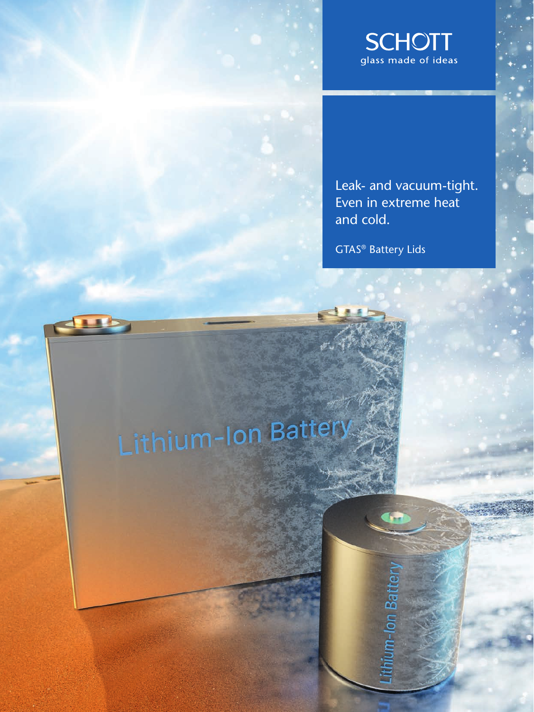

Leak- and vacuum-tight. Even in extreme heat and cold.

GTAS® Battery Lids

Im-Ion Batter

# Lithium-Ion Batter

dub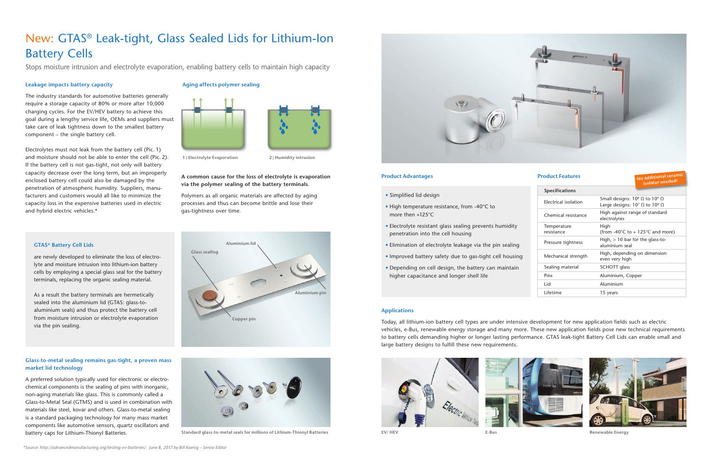#### **Applications**

Today, all lithium-ion battery cell types are under intensive development for new application fields such as electric vehicles, e-Bus, renewable energy storage and many more. These new application fields pose new technical requirements to battery cells demanding higher or longer lasting performance. GTAS leak-tight Battery Cell Lids can enable small and large battery designs to fulfill these new requirements.



## New: GTAS® Leak-tight, Glass Sealed Lids for Lithium-Ion Battery Cells

Stops moisture intrusion and electrolyte evaporation, enabling battery cells to maintain high capacity

#### **Leakage impacts battery capacity**

The industry standards for automotive batteries generally require a storage capacity of 80% or more after 10,000 charging cycles. For the EV/HEV battery to achieve this goal during a lengthy service life, OEMs and suppliers must take care of leak tightness down to the smallest battery component – the single battery cell.

Electrolytes must not leak from the battery cell (Pic. 1) and moisture should not be able to enter the cell (Pic. 2). If the battery cell is not gas-tight, not only will battery capacity decrease over the long term, but an improperly enclosed battery cell could also be damaged by the penetration of atmospheric humidity. Suppliers, manufacturers and customers would all like to minimize the capacity loss in the expensive batteries used in electric and hybrid electric vehicles.\*

### **Aging affects polymer sealing**



**1 | Electrolyte Evaporation 2 | Humidity intrusion**

#### **A common cause for the loss of electrolyte is evaporation via the polymer sealing of the battery terminals.**

Polymers as all organic materials are affected by aging processes and thus can become brittle and lose their gas-tightness over time.

#### **GTAS® Battery Cell Lids**

are newly developed to eliminate the loss of electrolyte and moisture intrusion into lithium-ion battery cells by employing a special glass seal for the battery terminals, replacing the organic sealing material.

As a result the battery terminals are hermetically sealed into the aluminium lid (GTAS: glass-toaluminium seals) and thus protect the battery cell from moisture intrusion or electrolyte evaporation via the pin sealing.



#### **Glass-to-metal sealing remains gas-tight, a proven mass market lid technology**

A preferred solution typically used for electronic or electrochemical components is the sealing of pins with inorganic, non-aging materials like glass. This is commonly called a Glass-to-Metal Seal (GTMS) and is used in combination with materials like steel, kovar and others. Glass-to-metal sealing is a standard packaging technology for many mass market components like automotive sensors, quartz oscillators and battery caps for Lithium-Thionyl Batteries.

- Simplified lid design
- High temperature resistance, from -40°C to more then +125°C
- Electrolyte resistant glass sealing prevents humidity penetration into the cell housing
- Elimination of electrolyte leakage via the pin sealing
- Improved battery safety due to gas-tight cell housing
- Depending on cell design, the battery can maintain higher capacitance and longer shelf life

**Specifications**

| Specifications            |                                                                                                    |
|---------------------------|----------------------------------------------------------------------------------------------------|
| Electrical isolation      | Small designs: $10^8 \Omega$ to $10^9 \Omega$<br>Large designs: $10^7$ $\Omega$ to $10^8$ $\Omega$ |
| Chemical resistance       | High against range of standard<br>electrolytes                                                     |
| Temperature<br>resistance | High<br>(from -40 $\degree$ C to + 125 $\degree$ C and more)                                       |
| Pressure tightness        | High, $> 10$ bar for the glass-to-<br>aluminium seal                                               |
| Mechanical strength       | High, depending on dimension<br>even very high                                                     |
| Sealing material          | SCHOTT glass                                                                                       |
| Pins                      | Aluminium, Copper                                                                                  |
| Lid                       | Aluminium                                                                                          |
| Lifetime                  | 15 years                                                                                           |





#### **Product Advantages Product Features**



**Standard glass-to-metal seals for millions of Lithium-Thionyl Batteries EV/ HEV E-Bus Renewable Energy**



**No additional ceramic isolator needed!**